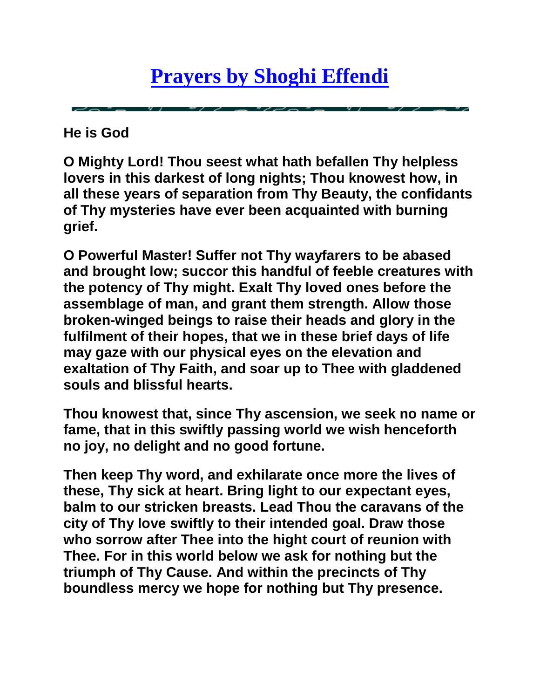## **[Prayers by Shoghi Effendi](http://senmcglinn.wordpress.com/2010/05/18/shoghi-effendi%E2%80%99s-prayers/)**

**He is God**

**O Mighty Lord! Thou seest what hath befallen Thy helpless lovers in this darkest of long nights; Thou knowest how, in all these years of separation from Thy Beauty, the confidants of Thy mysteries have ever been acquainted with burning grief.**

**O Powerful Master! Suffer not Thy wayfarers to be abased and brought low; succor this handful of feeble creatures with the potency of Thy might. Exalt Thy loved ones before the assemblage of man, and grant them strength. Allow those broken-winged beings to raise their heads and glory in the fulfilment of their hopes, that we in these brief days of life may gaze with our physical eyes on the elevation and exaltation of Thy Faith, and soar up to Thee with gladdened souls and blissful hearts.**

**Thou knowest that, since Thy ascension, we seek no name or fame, that in this swiftly passing world we wish henceforth no joy, no delight and no good fortune.**

**Then keep Thy word, and exhilarate once more the lives of these, Thy sick at heart. Bring light to our expectant eyes, balm to our stricken breasts. Lead Thou the caravans of the city of Thy love swiftly to their intended goal. Draw those who sorrow after Thee into the hight court of reunion with Thee. For in this world below we ask for nothing but the triumph of Thy Cause. And within the precincts of Thy boundless mercy we hope for nothing but Thy presence.**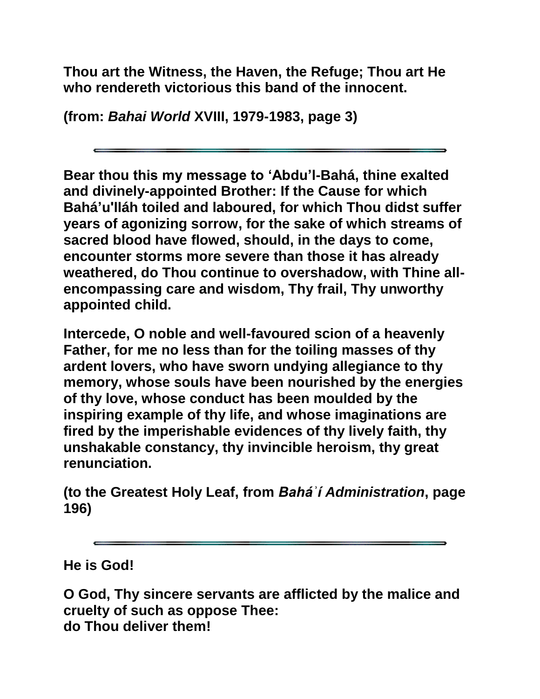**Thou art the Witness, the Haven, the Refuge; Thou art He who rendereth victorious this band of the innocent.**

**(from:** *Bahai World* **XVIII, 1979-1983, page 3)**

**Bear thou this my message to 'Abdu'l-Bahá, thine exalted and divinely-appointed Brother: If the Cause for which Bahá'u'lláh toiled and laboured, for which Thou didst suffer years of agonizing sorrow, for the sake of which streams of sacred blood have flowed, should, in the days to come, encounter storms more severe than those it has already weathered, do Thou continue to overshadow, with Thine allencompassing care and wisdom, Thy frail, Thy unworthy appointed child.**

**Intercede, O noble and well-favoured scion of a heavenly Father, for me no less than for the toiling masses of thy ardent lovers, who have sworn undying allegiance to thy memory, whose souls have been nourished by the energies of thy love, whose conduct has been moulded by the inspiring example of thy life, and whose imaginations are fired by the imperishable evidences of thy lively faith, thy unshakable constancy, thy invincible heroism, thy great renunciation.**

**(to the Greatest Holy Leaf, from** *Baháʾí Administration***, page 196)**

**He is God!**

**O God, Thy sincere servants are afflicted by the malice and cruelty of such as oppose Thee: do Thou deliver them!**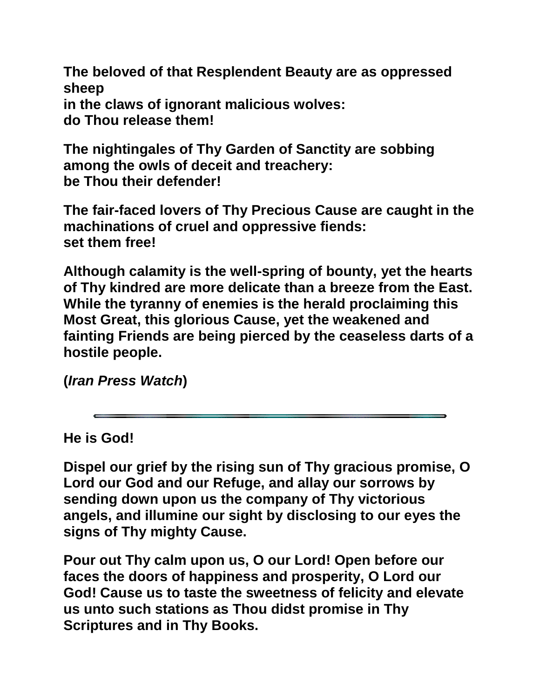**The beloved of that Resplendent Beauty are as oppressed sheep in the claws of ignorant malicious wolves: do Thou release them!**

**The nightingales of Thy Garden of Sanctity are sobbing among the owls of deceit and treachery: be Thou their defender!**

**The fair-faced lovers of Thy Precious Cause are caught in the machinations of cruel and oppressive fiends: set them free!**

**Although calamity is the well-spring of bounty, yet the hearts of Thy kindred are more delicate than a breeze from the East. While the tyranny of enemies is the herald proclaiming this Most Great, this glorious Cause, yet the weakened and fainting Friends are being pierced by the ceaseless darts of a hostile people.**

**(***Iran Press Watch***)**

**He is God!**

**Dispel our grief by the rising sun of Thy gracious promise, O Lord our God and our Refuge, and allay our sorrows by sending down upon us the company of Thy victorious angels, and illumine our sight by disclosing to our eyes the signs of Thy mighty Cause.**

**Pour out Thy calm upon us, O our Lord! Open before our faces the doors of happiness and prosperity, O Lord our God! Cause us to taste the sweetness of felicity and elevate us unto such stations as Thou didst promise in Thy Scriptures and in Thy Books.**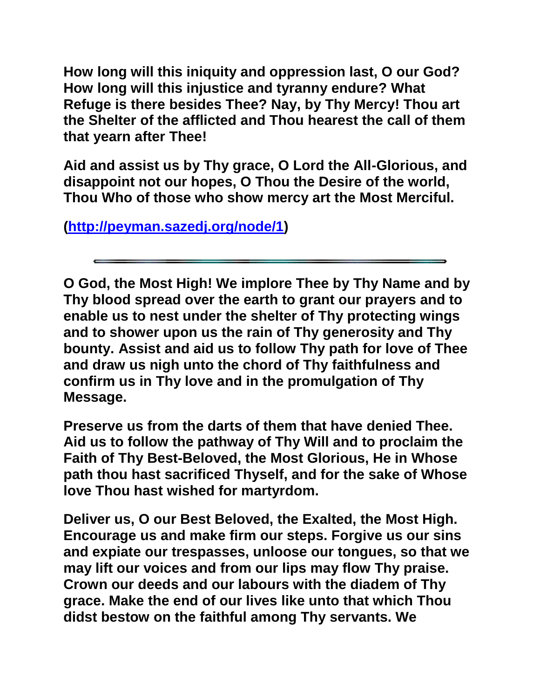**How long will this iniquity and oppression last, O our God? How long will this injustice and tyranny endure? What Refuge is there besides Thee? Nay, by Thy Mercy! Thou art the Shelter of the afflicted and Thou hearest the call of them that yearn after Thee!** 

**Aid and assist us by Thy grace, O Lord the All-Glorious, and disappoint not our hopes, O Thou the Desire of the world, Thou Who of those who show mercy art the Most Merciful.** 

**[\(http://peyman.sazedj.org/node/1\)](http://peyman.sazedj.org/node/1)**

**O God, the Most High! We implore Thee by Thy Name and by Thy blood spread over the earth to grant our prayers and to enable us to nest under the shelter of Thy protecting wings and to shower upon us the rain of Thy generosity and Thy bounty. Assist and aid us to follow Thy path for love of Thee and draw us nigh unto the chord of Thy faithfulness and confirm us in Thy love and in the promulgation of Thy Message.**

**Preserve us from the darts of them that have denied Thee. Aid us to follow the pathway of Thy Will and to proclaim the Faith of Thy Best-Beloved, the Most Glorious, He in Whose path thou hast sacrificed Thyself, and for the sake of Whose love Thou hast wished for martyrdom.**

**Deliver us, O our Best Beloved, the Exalted, the Most High. Encourage us and make firm our steps. Forgive us our sins and expiate our trespasses, unloose our tongues, so that we may lift our voices and from our lips may flow Thy praise. Crown our deeds and our labours with the diadem of Thy grace. Make the end of our lives like unto that which Thou didst bestow on the faithful among Thy servants. We**